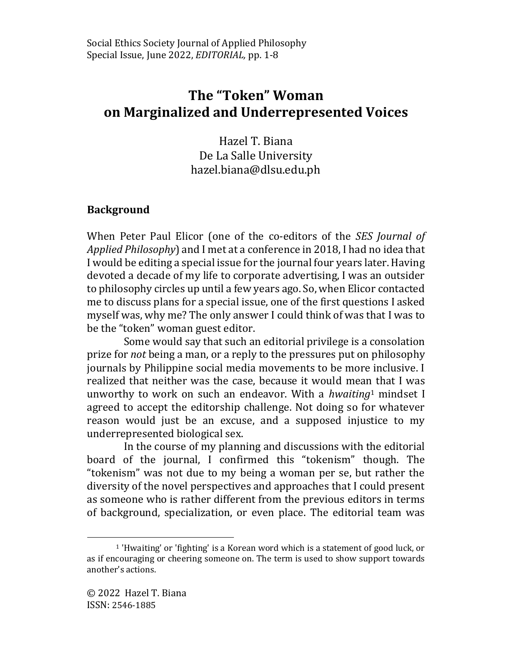# **The "Token" Woman on Marginalized and Underrepresented Voices**

Hazel T. Biana De La Salle University hazel.biana@dlsu.edu.ph

## **Background**

When Peter Paul Elicor (one of the co-editors of the *SES Journal of Applied Philosophy*) and I met at a conference in 2018, I had no idea that I would be editing a special issue for the journal four years later. Having devoted a decade of my life to corporate advertising, I was an outsider to philosophy circles up until a few years ago. So, when Elicor contacted me to discuss plans for a special issue, one of the first questions I asked myself was, why me? The only answer I could think of was that I was to be the "token" woman guest editor.

Some would say that such an editorial privilege is a consolation prize for *not* being a man, or a reply to the pressures put on philosophy journals by Philippine social media movements to be more inclusive. I realized that neither was the case, because it would mean that I was unworthy to work on such an endeavor. With a *hwaiting*<sup>1</sup> mindset I agreed to accept the editorship challenge. Not doing so for whatever reason would just be an excuse, and a supposed injustice to my underrepresented biological sex.

In the course of my planning and discussions with the editorial board of the journal, I confirmed this "tokenism" though. The "tokenism" was not due to my being a woman per se, but rather the diversity of the novel perspectives and approaches that I could present as someone who is rather different from the previous editors in terms of background, specialization, or even place. The editorial team was

 $\overline{a}$ 

<sup>1</sup> 'Hwaiting' or 'fighting' is a Korean word which is a statement of good luck, or as if encouraging or cheering someone on. The term is used to show support towards another's actions.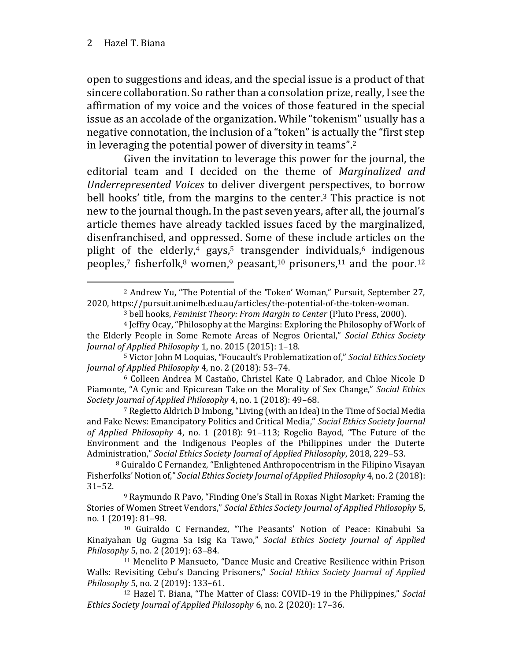open to suggestions and ideas, and the special issue is a product of that sincere collaboration. So rather than a consolation prize, really, I see the affirmation of my voice and the voices of those featured in the special issue as an accolade of the organization. While "tokenism" usually has a negative connotation, the inclusion of a "token" is actually the "first step in leveraging the potential power of diversity in teams".<sup>2</sup>

Given the invitation to leverage this power for the journal, the editorial team and I decided on the theme of *Marginalized and Underrepresented Voices* to deliver divergent perspectives, to borrow bell hooks' title, from the margins to the center.<sup>3</sup> This practice is not new to the journal though. In the past seven years, after all, the journal's article themes have already tackled issues faced by the marginalized, disenfranchised, and oppressed. Some of these include articles on the plight of the elderly,<sup>4</sup> gays,<sup>5</sup> transgender individuals, $6$  indigenous peoples,<sup>7</sup> fisherfolk,<sup>8</sup> women,<sup>9</sup> peasant,<sup>10</sup> prisoners,<sup>11</sup> and the poor.<sup>12</sup>

<sup>7</sup> Regletto Aldrich D Imbong, "Living (with an Idea) in the Time of Social Media and Fake News: Emancipatory Politics and Critical Media," *Social Ethics Society Journal of Applied Philosophy* 4, no. 1 (2018): 91–113; Rogelio Bayod, "The Future of the Environment and the Indigenous Peoples of the Philippines under the Duterte Administration," *Social Ethics Society Journal of Applied Philosophy*, 2018, 229–53.

<sup>8</sup> Guiraldo C Fernandez, "Enlightened Anthropocentrism in the Filipino Visayan Fisherfolks' Notion of," *Social Ethics Society Journal of Applied Philosophy* 4, no. 2 (2018): 31–52.

<sup>9</sup> Raymundo R Pavo, "Finding One's Stall in Roxas Night Market: Framing the Stories of Women Street Vendors," *Social Ethics Society Journal of Applied Philosophy* 5, no. 1 (2019): 81–98.

<sup>10</sup> Guiraldo C Fernandez, "The Peasants' Notion of Peace: Kinabuhi Sa Kinaiyahan Ug Gugma Sa Isig Ka Tawo," *Social Ethics Society Journal of Applied Philosophy* 5, no. 2 (2019): 63–84.

<sup>11</sup> Menelito P Mansueto, "Dance Music and Creative Resilience within Prison Walls: Revisiting Cebu's Dancing Prisoners," *Social Ethics Society Journal of Applied Philosophy* 5, no. 2 (2019): 133–61.

<sup>12</sup> Hazel T. Biana, "The Matter of Class: COVID-19 in the Philippines," *Social Ethics Society Journal of Applied Philosophy* 6, no. 2 (2020): 17–36.

 $\overline{a}$ <sup>2</sup> Andrew Yu, "The Potential of the 'Token' Woman," Pursuit, September 27, 2020, https://pursuit.unimelb.edu.au/articles/the-potential-of-the-token-woman.

<sup>3</sup> bell hooks, *Feminist Theory: From Margin to Center* (Pluto Press, 2000).

<sup>4</sup> Jeffry Ocay, "Philosophy at the Margins: Exploring the Philosophy of Work of the Elderly People in Some Remote Areas of Negros Oriental," *Social Ethics Society Journal of Applied Philosophy* 1, no. 2015 (2015): 1–18.

<sup>5</sup> Victor John M Loquias, "Foucault's Problematization of," *Social Ethics Society Journal of Applied Philosophy* 4, no. 2 (2018): 53–74.

<sup>6</sup> Colleen Andrea M Castaño, Christel Kate Q Labrador, and Chloe Nicole D Piamonte, "A Cynic and Epicurean Take on the Morality of Sex Change," *Social Ethics Society Journal of Applied Philosophy* 4, no. 1 (2018): 49–68.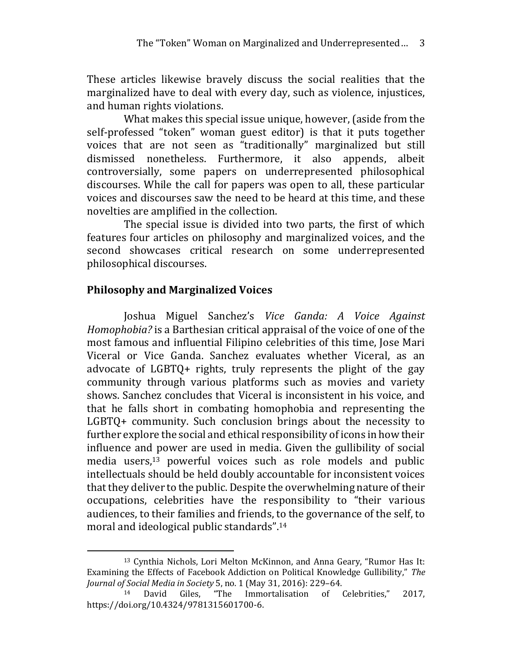These articles likewise bravely discuss the social realities that the marginalized have to deal with every day, such as violence, injustices, and human rights violations.

What makes this special issue unique, however, (aside from the self-professed "token" woman guest editor) is that it puts together voices that are not seen as "traditionally" marginalized but still dismissed nonetheless. Furthermore, it also appends, albeit controversially, some papers on underrepresented philosophical discourses. While the call for papers was open to all, these particular voices and discourses saw the need to be heard at this time, and these novelties are amplified in the collection.

The special issue is divided into two parts, the first of which features four articles on philosophy and marginalized voices, and the second showcases critical research on some underrepresented philosophical discourses.

#### **Philosophy and Marginalized Voices**

 $\overline{a}$ 

Joshua Miguel Sanchez's *Vice Ganda: A Voice Against Homophobia?* is a Barthesian critical appraisal of the voice of one of the most famous and influential Filipino celebrities of this time, Jose Mari Viceral or Vice Ganda. Sanchez evaluates whether Viceral, as an advocate of LGBTQ+ rights, truly represents the plight of the gay community through various platforms such as movies and variety shows. Sanchez concludes that Viceral is inconsistent in his voice, and that he falls short in combating homophobia and representing the LGBTQ+ community. Such conclusion brings about the necessity to further explore the social and ethical responsibility of icons in how their influence and power are used in media. Given the gullibility of social media users,<sup>13</sup> powerful voices such as role models and public intellectuals should be held doubly accountable for inconsistent voices that they deliver to the public. Despite the overwhelming nature of their occupations, celebrities have the responsibility to "their various audiences, to their families and friends, to the governance of the self, to moral and ideological public standards".<sup>14</sup>

<sup>13</sup> Cynthia Nichols, Lori Melton McKinnon, and Anna Geary, "Rumor Has It: Examining the Effects of Facebook Addiction on Political Knowledge Gullibility," *The Journal of Social Media in Society* 5, no. 1 (May 31, 2016): 229–64.

<sup>14</sup> David Giles, "The Immortalisation of Celebrities," 2017, https://doi.org/10.4324/9781315601700-6.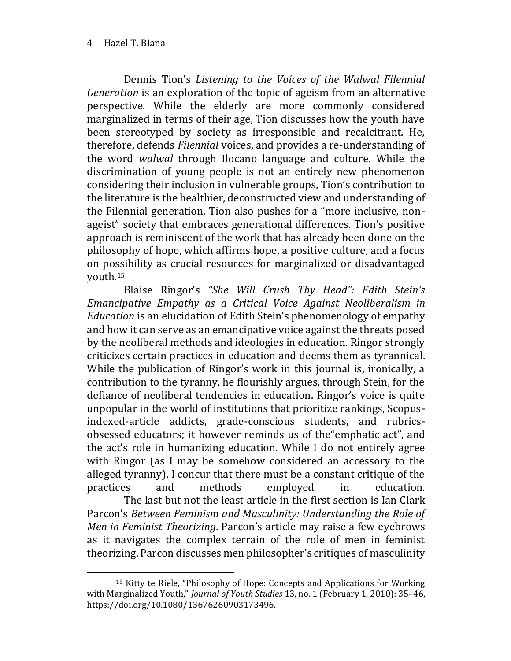$\overline{a}$ 

Dennis Tion's *Listening to the Voices of the Walwal Filennial Generation* is an exploration of the topic of ageism from an alternative perspective. While the elderly are more commonly considered marginalized in terms of their age, Tion discusses how the youth have been stereotyped by society as irresponsible and recalcitrant. He, therefore, defends *Filennial* voices, and provides a re-understanding of the word *walwal* through Ilocano language and culture. While the discrimination of young people is not an entirely new phenomenon considering their inclusion in vulnerable groups, Tion's contribution to the literature is the healthier, deconstructed view and understanding of the Filennial generation. Tion also pushes for a "more inclusive, nonageist" society that embraces generational differences. Tion's positive approach is reminiscent of the work that has already been done on the philosophy of hope, which affirms hope, a positive culture, and a focus on possibility as crucial resources for marginalized or disadvantaged youth.15

Blaise Ringor's *"She Will Crush Thy Head": Edith Stein's Emancipative Empathy as a Critical Voice Against Neoliberalism in Education* is an elucidation of Edith Stein's phenomenology of empathy and how it can serve as an emancipative voice against the threats posed by the neoliberal methods and ideologies in education. Ringor strongly criticizes certain practices in education and deems them as tyrannical. While the publication of Ringor's work in this journal is, ironically, a contribution to the tyranny, he flourishly argues, through Stein, for the defiance of neoliberal tendencies in education. Ringor's voice is quite unpopular in the world of institutions that prioritize rankings, Scopusindexed-article addicts, grade-conscious students, and rubricsobsessed educators; it however reminds us of the"emphatic act", and the act's role in humanizing education. While I do not entirely agree with Ringor (as I may be somehow considered an accessory to the alleged tyranny), I concur that there must be a constant critique of the practices and methods employed in education. The last but not the least article in the first section is Ian Clark Parcon's *Between Feminism and Masculinity: Understanding the Role of Men in Feminist Theorizing*. Parcon's article may raise a few eyebrows as it navigates the complex terrain of the role of men in feminist theorizing. Parcon discusses men philosopher's critiques of masculinity

<sup>15</sup> Kitty te Riele, "Philosophy of Hope: Concepts and Applications for Working with Marginalized Youth," *Journal of Youth Studies* 13, no. 1 (February 1, 2010): 35–46, https://doi.org/10.1080/13676260903173496.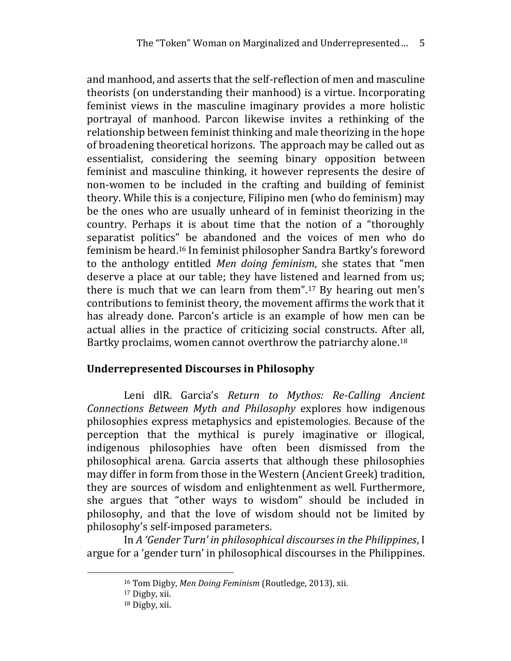and manhood, and asserts that the self-reflection of men and masculine theorists (on understanding their manhood) is a virtue. Incorporating feminist views in the masculine imaginary provides a more holistic portrayal of manhood. Parcon likewise invites a rethinking of the relationship between feminist thinking and male theorizing in the hope of broadening theoretical horizons. The approach may be called out as essentialist, considering the seeming binary opposition between feminist and masculine thinking, it however represents the desire of non-women to be included in the crafting and building of feminist theory. While this is a conjecture, Filipino men (who do feminism) may be the ones who are usually unheard of in feminist theorizing in the country. Perhaps it is about time that the notion of a "thoroughly separatist politics" be abandoned and the voices of men who do feminism be heard.16 In feminist philosopher Sandra Bartky's foreword to the anthology entitled *Men doing feminism*, she states that "men deserve a place at our table; they have listened and learned from us; there is much that we can learn from them".<sup>17</sup> By hearing out men's contributions to feminist theory, the movement affirms the work that it has already done. Parcon's article is an example of how men can be actual allies in the practice of criticizing social constructs. After all, Bartky proclaims, women cannot overthrow the patriarchy alone.<sup>18</sup>

#### **Underrepresented Discourses in Philosophy**

Leni dlR. Garcia's *Return to Mythos: Re-Calling Ancient Connections Between Myth and Philosophy* explores how indigenous philosophies express metaphysics and epistemologies. Because of the perception that the mythical is purely imaginative or illogical, indigenous philosophies have often been dismissed from the philosophical arena. Garcia asserts that although these philosophies may differ in form from those in the Western (Ancient Greek) tradition, they are sources of wisdom and enlightenment as well. Furthermore, she argues that "other ways to wisdom" should be included in philosophy, and that the love of wisdom should not be limited by philosophy's self-imposed parameters.

In *A 'Gender Turn' in philosophical discourses in the Philippines*, I argue for a 'gender turn' in philosophical discourses in the Philippines.

 $\overline{a}$ 

<sup>16</sup> Tom Digby, *Men Doing Feminism* (Routledge, 2013), xii.

<sup>17</sup> Digby, xii.

<sup>18</sup> Digby, xii.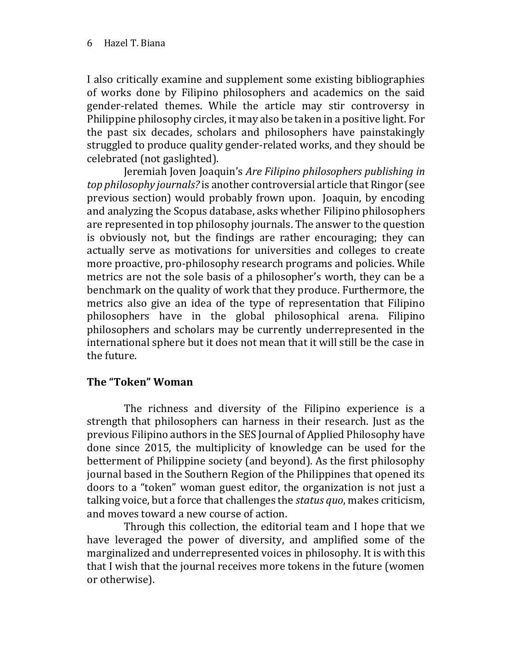I also critically examine and supplement some existing bibliographies of works done by Filipino philosophers and academics on the said gender-related themes. While the article may stir controversy in Philippine philosophy circles, it may also be taken in a positive light. For the past six decades, scholars and philosophers have painstakingly struggled to produce quality gender-related works, and they should be celebrated (not gaslighted).

Jeremiah Joven Joaquin's *Are Filipino philosophers publishing in top philosophy journals?* is another controversial article that Ringor (see previous section) would probably frown upon. Joaquin, by encoding and analyzing the Scopus database, asks whether Filipino philosophers are represented in top philosophy journals. The answer to the question is obviously not, but the findings are rather encouraging; they can actually serve as motivations for universities and colleges to create more proactive, pro-philosophy research programs and policies. While metrics are not the sole basis of a philosopher's worth, they can be a benchmark on the quality of work that they produce. Furthermore, the metrics also give an idea of the type of representation that Filipino philosophers have in the global philosophical arena. Filipino philosophers and scholars may be currently underrepresented in the international sphere but it does not mean that it will still be the case in the future.

#### **The "Token" Woman**

The richness and diversity of the Filipino experience is a strength that philosophers can harness in their research. Just as the previous Filipino authors in the SES Journal of Applied Philosophy have done since 2015, the multiplicity of knowledge can be used for the betterment of Philippine society (and beyond). As the first philosophy journal based in the Southern Region of the Philippines that opened its doors to a "token" woman guest editor, the organization is not just a talking voice, but a force that challenges the *status quo*, makes criticism, and moves toward a new course of action.

Through this collection, the editorial team and I hope that we have leveraged the power of diversity, and amplified some of the marginalized and underrepresented voices in philosophy. It is with this that I wish that the journal receives more tokens in the future (women or otherwise).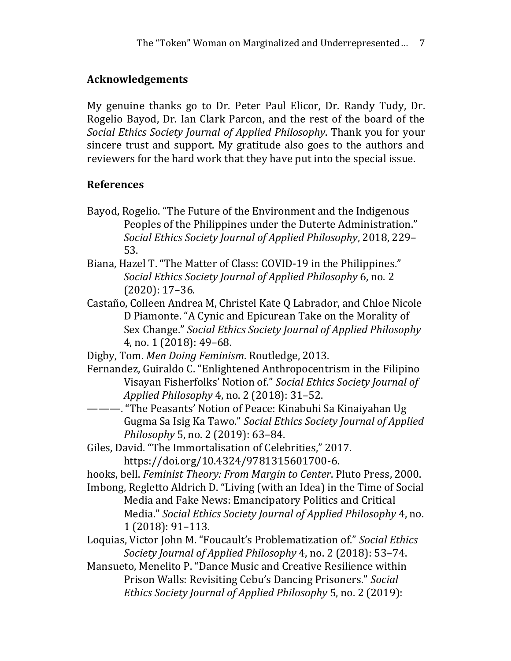# **Acknowledgements**

My genuine thanks go to Dr. Peter Paul Elicor, Dr. Randy Tudy, Dr. Rogelio Bayod, Dr. Ian Clark Parcon, and the rest of the board of the *Social Ethics Society Journal of Applied Philosophy*. Thank you for your sincere trust and support. My gratitude also goes to the authors and reviewers for the hard work that they have put into the special issue.

## **References**

- Bayod, Rogelio. "The Future of the Environment and the Indigenous Peoples of the Philippines under the Duterte Administration." *Social Ethics Society Journal of Applied Philosophy*, 2018, 229– 53.
- Biana, Hazel T. "The Matter of Class: COVID-19 in the Philippines." *Social Ethics Society Journal of Applied Philosophy* 6, no. 2 (2020): 17–36.
- Castaño, Colleen Andrea M, Christel Kate Q Labrador, and Chloe Nicole D Piamonte. "A Cynic and Epicurean Take on the Morality of Sex Change." *Social Ethics Society Journal of Applied Philosophy* 4, no. 1 (2018): 49–68.

Digby, Tom. *Men Doing Feminism*. Routledge, 2013.

Fernandez, Guiraldo C. "Enlightened Anthropocentrism in the Filipino Visayan Fisherfolks' Notion of." *Social Ethics Society Journal of Applied Philosophy* 4, no. 2 (2018): 31–52.

- ———. "The Peasants' Notion of Peace: Kinabuhi Sa Kinaiyahan Ug Gugma Sa Isig Ka Tawo." *Social Ethics Society Journal of Applied Philosophy* 5, no. 2 (2019): 63–84.
- Giles, David. "The Immortalisation of Celebrities," 2017. https://doi.org/10.4324/9781315601700-6.
- hooks, bell. *Feminist Theory: From Margin to Center*. Pluto Press, 2000.
- Imbong, Regletto Aldrich D. "Living (with an Idea) in the Time of Social Media and Fake News: Emancipatory Politics and Critical Media." *Social Ethics Society Journal of Applied Philosophy* 4, no. 1 (2018): 91–113.
- Loquias, Victor John M. "Foucault's Problematization of." *Social Ethics Society Journal of Applied Philosophy* 4, no. 2 (2018): 53–74.
- Mansueto, Menelito P. "Dance Music and Creative Resilience within Prison Walls: Revisiting Cebu's Dancing Prisoners." *Social Ethics Society Journal of Applied Philosophy* 5, no. 2 (2019):